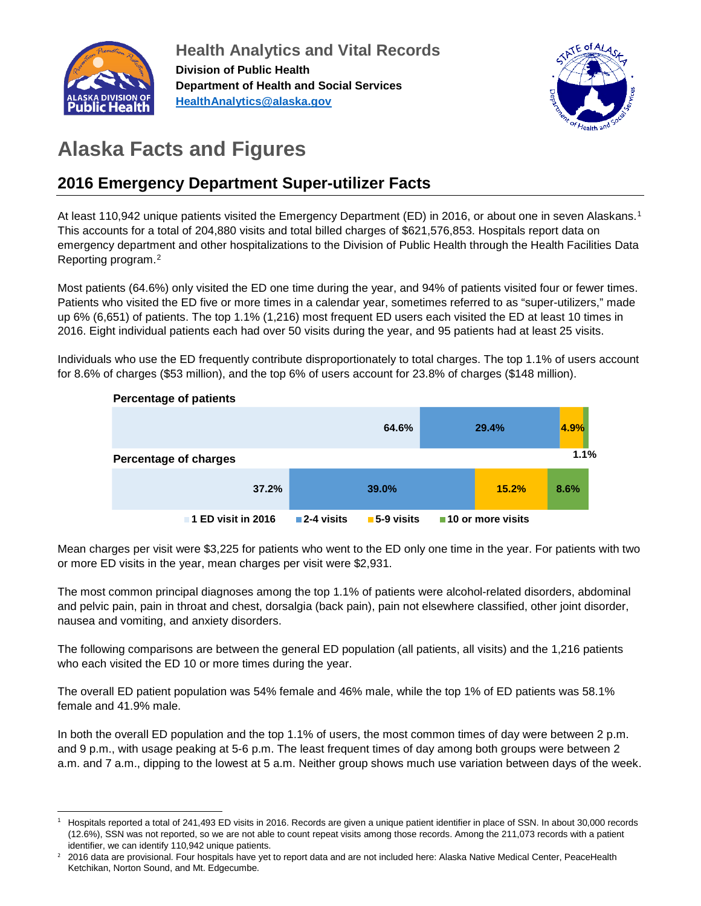

**Health Analytics and Vital Records Division of Public Health Department of Health and Social Services [HealthAnalytics@alaska.gov](mailto:HealthAnalytics@alaska.gov)**



# **Alaska Facts and Figures**

## **2016 Emergency Department Super-utilizer Facts**

At least [1](#page-0-0)10,942 unique patients visited the Emergency Department (ED) in 2016, or about one in seven Alaskans.<sup>1</sup> This accounts for a total of 204,880 visits and total billed charges of \$621,576,853. Hospitals report data on emergency department and other hospitalizations to the Division of Public Health through the Health Facilities Data Reporting program.[2](#page-0-1)

Most patients (64.6%) only visited the ED one time during the year, and 94% of patients visited four or fewer times. Patients who visited the ED five or more times in a calendar year, sometimes referred to as "super-utilizers," made up 6% (6,651) of patients. The top 1.1% (1,216) most frequent ED users each visited the ED at least 10 times in 2016. Eight individual patients each had over 50 visits during the year, and 95 patients had at least 25 visits.

Individuals who use the ED frequently contribute disproportionately to total charges. The top 1.1% of users account for 8.6% of charges (\$53 million), and the top 6% of users account for 23.8% of charges (\$148 million).



Mean charges per visit were \$3,225 for patients who went to the ED only one time in the year. For patients with two or more ED visits in the year, mean charges per visit were \$2,931.

The most common principal diagnoses among the top 1.1% of patients were alcohol-related disorders, abdominal and pelvic pain, pain in throat and chest, dorsalgia (back pain), pain not elsewhere classified, other joint disorder, nausea and vomiting, and anxiety disorders.

The following comparisons are between the general ED population (all patients, all visits) and the 1,216 patients who each visited the ED 10 or more times during the year.

The overall ED patient population was 54% female and 46% male, while the top 1% of ED patients was 58.1% female and 41.9% male.

In both the overall ED population and the top 1.1% of users, the most common times of day were between 2 p.m. and 9 p.m., with usage peaking at 5-6 p.m. The least frequent times of day among both groups were between 2 a.m. and 7 a.m., dipping to the lowest at 5 a.m. Neither group shows much use variation between days of the week.

<span id="page-0-0"></span><sup>1</sup> Hospitals reported a total of 241,493 ED visits in 2016. Records are given a unique patient identifier in place of SSN. In about 30,000 records (12.6%), SSN was not reported, so we are not able to count repeat visits among those records. Among the 211,073 records with a patient identifier, we can identify 110,942 unique patients.

<span id="page-0-1"></span><sup>2</sup> 2016 data are provisional. Four hospitals have yet to report data and are not included here: Alaska Native Medical Center, PeaceHealth Ketchikan, Norton Sound, and Mt. Edgecumbe.